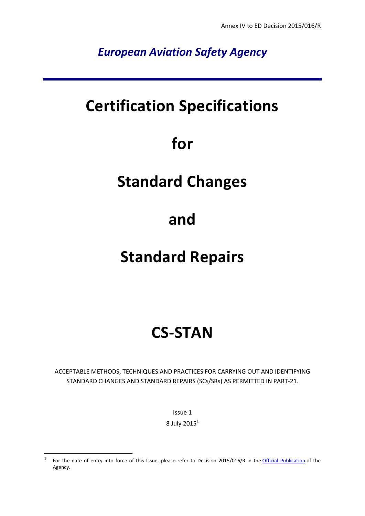*European Aviation Safety Agency*

# **Certification Specifications**

# **for**

# **Standard Changes**

# **and**

# **Standard Repairs**

# **CS-STAN**

ACCEPTABLE METHODS, TECHNIQUES AND PRACTICES FOR CARRYING OUT AND IDENTIFYING STANDARD CHANGES AND STANDARD REPAIRS (SCs/SRs) AS PERMITTED IN PART-21.

Issue 1

8 July  $2015<sup>1</sup>$ 

 $\frac{1}{1}$ For the date of entry into force of this Issue, please refer to Decision 2015/016/R in the [Official Publication](http://easa.europa.eu/official-publication/) of the Agency.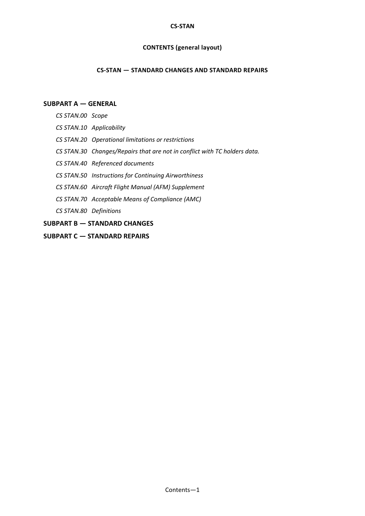#### **CS-STAN**

# **CONTENTS (general layout)**

### **CS-STAN — STANDARD CHANGES AND STANDARD REPAIRS**

# **[SUBPART A](#page-2-0) — GENERAL**

- *CS [STAN.00 Scope](#page-2-1)*
- *CS [STAN.10 Applicability](#page-2-2)*
- *CS [STAN.20 Operational limitations or restrictions](#page-2-3)*
- *CS [STAN.30 Changes/Repairs that are not in conflict with TC holders data.](#page-2-4)*
- *CS [STAN.40 Referenced documents](#page-2-5)*
- *CS [STAN.50 Instructions for Continuing Airworthiness](#page-3-0)*
- *CS [STAN.60 Aircraft Flight Manual \(AFM\) Supplement](#page-3-1)*
- *CS [STAN.70 Acceptable Means of Compliance \(AMC\)](#page-3-2)*
- *CS [STAN.80 Definitions](#page-3-3)*
- **SUBPART B — [STANDARD CHANGES](#page-5-0)**
- **SUBPART C — [STANDARD REPAIRS](#page-46-0)**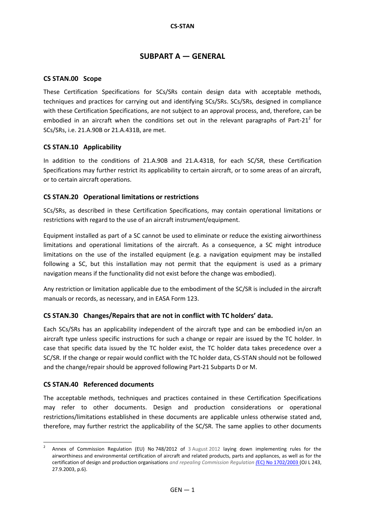# **SUBPART A — GENERAL**

# <span id="page-2-1"></span><span id="page-2-0"></span>**CS STAN.00 Scope**

These Certification Specifications for SCs/SRs contain design data with acceptable methods, techniques and practices for carrying out and identifying SCs/SRs. SCs/SRs, designed in compliance with these Certification Specifications, are not subject to an approval process, and, therefore, can be embodied in an aircraft when the conditions set out in the relevant paragraphs of Part-21<sup>2</sup> for SCs/SRs, i.e. 21.A.90B or 21.A.431B, are met.

# <span id="page-2-2"></span>**CS STAN.10****Applicability**

In addition to the conditions of 21.A.90B and 21.A.431B, for each SC/SR, these Certification Specifications may further restrict its applicability to certain aircraft, or to some areas of an aircraft, or to certain aircraft operations.

# <span id="page-2-3"></span>**CS STAN.20****Operational limitations or restrictions**

SCs/SRs, as described in these Certification Specifications, may contain operational limitations or restrictions with regard to the use of an aircraft instrument/equipment.

Equipment installed as part of a SC cannot be used to eliminate or reduce the existing airworthiness limitations and operational limitations of the aircraft. As a consequence, a SC might introduce limitations on the use of the installed equipment (e.g. a navigation equipment may be installed following a SC, but this installation may not permit that the equipment is used as a primary navigation means if the functionality did not exist before the change was embodied).

Any restriction or limitation applicable due to the embodiment of the SC/SR is included in the aircraft manuals or records, as necessary, and in EASA Form 123.

# <span id="page-2-4"></span>**CS STAN.30****Changes/Repairs that are not in conflict with TC holders' data.**

Each SCs/SRs has an applicability independent of the aircraft type and can be embodied in/on an aircraft type unless specific instructions for such a change or repair are issued by the TC holder. In case that specific data issued by the TC holder exist, the TC holder data takes precedence over a SC/SR. If the change or repair would conflict with the TC holder data, CS-STAN should not be followed and the change/repair should be approved following Part-21 Subparts D or M.

### <span id="page-2-5"></span>**CS STAN.40****Referenced documents**

 $\overline{\phantom{a}}$ 

The acceptable methods, techniques and practices contained in these Certification Specifications may refer to other documents. Design and production considerations or operational restrictions/limitations established in these documents are applicable unless otherwise stated and, therefore, may further restrict the applicability of the SC/SR. The same applies to other documents

<sup>2</sup> Annex of [Commission Regulation \(EU\) No](http://eur-lex.europa.eu/LexUriServ/LexUriServ.do?uri=OJ:L:2012:224:0001:0085:EN:PDF) 748/2012 of 3 August 2012 laying down implementing rules for the airworthiness and environmental certification of aircraft and related products, parts and appliances, as well as for the certification of design and production organisations *and repealing Commission Regulation (*EC) No 1702/2003 (OJ L 243, 27.9.2003, p.6).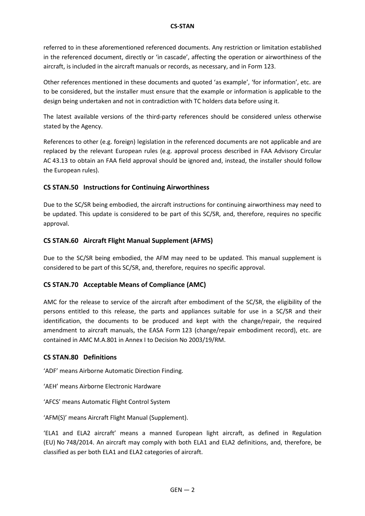### **CS-STAN**

referred to in these aforementioned referenced documents. Any restriction or limitation established in the referenced document, directly or 'in cascade', affecting the operation or airworthiness of the aircraft, is included in the aircraft manuals or records, as necessary, and in Form 123.

Other references mentioned in these documents and quoted 'as example', 'for information', etc. are to be considered, but the installer must ensure that the example or information is applicable to the design being undertaken and not in contradiction with TC holders data before using it.

The latest available versions of the third-party references should be considered unless otherwise stated by the Agency.

References to other (e.g. foreign) legislation in the referenced documents are not applicable and are replaced by the relevant European rules (e.g. approval process described in FAA Advisory Circular AC 43.13 to obtain an FAA field approval should be ignored and, instead, the installer should follow the European rules).

# <span id="page-3-0"></span>**CS STAN.50****Instructions for Continuing Airworthiness**

Due to the SC/SR being embodied, the aircraft instructions for continuing airworthiness may need to be updated. This update is considered to be part of this SC/SR, and, therefore, requires no specific approval.

# <span id="page-3-1"></span>**CS STAN.60****Aircraft Flight Manual Supplement (AFMS)**

Due to the SC/SR being embodied, the AFM may need to be updated. This manual supplement is considered to be part of this SC/SR, and, therefore, requires no specific approval.

# <span id="page-3-2"></span>**CS STAN.70****Acceptable Means of Compliance (AMC)**

AMC for the release to service of the aircraft after embodiment of the SC/SR, the eligibility of the persons entitled to this release, the parts and appliances suitable for use in a SC/SR and their identification, the documents to be produced and kept with the change/repair, the required amendment to aircraft manuals, the EASA Form 123 (change/repair embodiment record), etc. are contained in AMC M.A.801 in Annex I to Decision No 2003/19/RM.

# <span id="page-3-3"></span>**CS STAN.80****Definitions**

'ADF' means Airborne Automatic Direction Finding.

'AEH' means Airborne Electronic Hardware

'AFCS' means Automatic Flight Control System

'AFM(S)' means Aircraft Flight Manual (Supplement).

'ELA1 and ELA2 aircraft' means a manned European light aircraft, as defined in Regulation (EU) No 748/2014. An aircraft may comply with both ELA1 and ELA2 definitions, and, therefore, be classified as per both ELA1 and ELA2 categories of aircraft.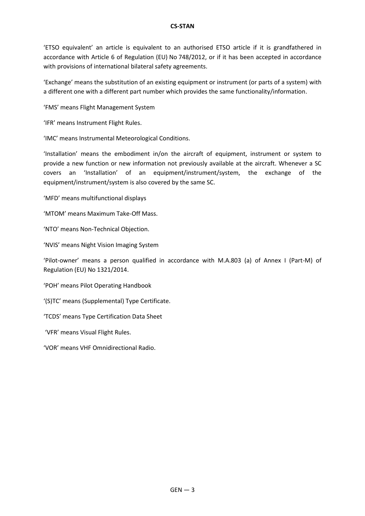'ETSO equivalent' an article is equivalent to an authorised ETSO article if it is grandfathered in accordance with Article 6 of Regulation (EU) No 748/2012, or if it has been accepted in accordance with provisions of international bilateral safety agreements.

'Exchange' means the substitution of an existing equipment or instrument (or parts of a system) with a different one with a different part number which provides the same functionality/information.

'FMS' means Flight Management System

'IFR' means Instrument Flight Rules.

'IMC' means Instrumental Meteorological Conditions.

'Installation' means the embodiment in/on the aircraft of equipment, instrument or system to provide a new function or new information not previously available at the aircraft. Whenever a SC covers an 'Installation' of an equipment/instrument/system, the exchange of the equipment/instrument/system is also covered by the same SC.

'MFD' means multifunctional displays

'MTOM' means Maximum Take-Off Mass.

'NTO' means Non-Technical Objection.

'NVIS' means Night Vision Imaging System

'Pilot-owner' means a person qualified in accordance with M.A.803 (a) of Annex I (Part-M) of Regulation (EU) No 1321/2014.

'POH' means Pilot Operating Handbook

'(S)TC' means (Supplemental) Type Certificate.

'TCDS' means Type Certification Data Sheet

'VFR' means Visual Flight Rules.

'VOR' means VHF Omnidirectional Radio.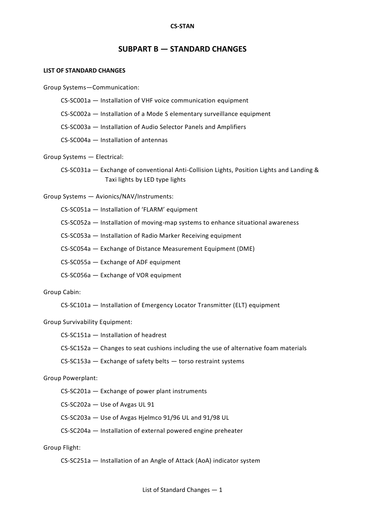#### **CS-STAN**

# **SUBPART B — STANDARD CHANGES**

#### <span id="page-5-0"></span>**LIST OF STANDARD CHANGES**

Group Systems—Communication:

CS-SC001a — Installation of VHF voice communication equipment

CS-SC002a — Installation of a Mode S elementary surveillance equipment

CS-SC003a — Installation of Audio Selector Panels and Amplifiers

CS-SC004a — Installation of antennas

Group Systems — Electrical:

CS-SC031a — Exchange of conventional Anti-Collision Lights, Position Lights and Landing & Taxi lights by LED type lights

Group Systems — Avionics/NAV/Instruments:

CS-SC051a — Installation of 'FLARM' equipment

CS-SC052a — Installation of moving-map systems to enhance situational awareness

CS-SC053a — Installation of Radio Marker Receiving equipment

CS-SC054a — Exchange of Distance Measurement Equipment (DME)

CS-SC055a — Exchange of ADF equipment

CS-SC056a — Exchange of VOR equipment

Group Cabin:

CS-SC101a — Installation of Emergency Locator Transmitter (ELT) equipment

Group Survivability Equipment:

CS-SC151a — Installation of headrest

CS-SC152a — Changes to seat cushions including the use of alternative foam materials

CS-SC153a — Exchange of safety belts — torso restraint systems

Group Powerplant:

CS-SC201a — Exchange of power plant instruments

CS-SC202a — Use of Avgas UL 91

CS-SC203a — Use of Avgas Hjelmco 91/96 UL and 91/98 UL

CS-SC204a — Installation of external powered engine preheater

Group Flight:

CS-SC251a — Installation of an Angle of Attack (AoA) indicator system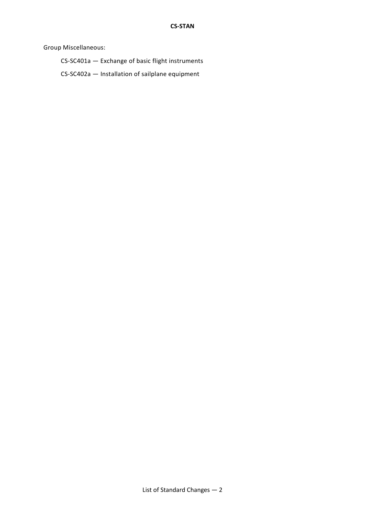Group Miscellaneous:

CS-SC401a — Exchange of basic flight instruments

CS-SC402a — Installation of sailplane equipment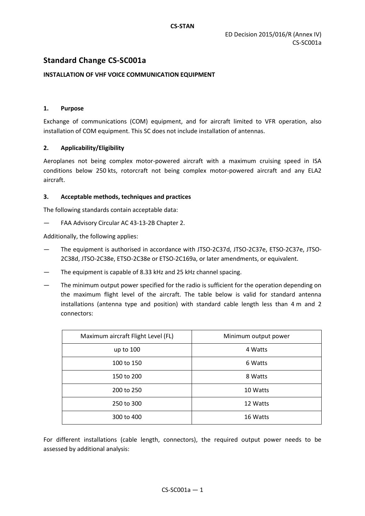# **Standard Change CS-SC001a**

# **INSTALLATION OF VHF VOICE COMMUNICATION EQUIPMENT**

### **1. Purpose**

Exchange of communications (COM) equipment, and for aircraft limited to VFR operation, also installation of COM equipment. This SC does not include installation of antennas.

### **2. Applicability/Eligibility**

Aeroplanes not being complex motor-powered aircraft with a maximum cruising speed in ISA conditions below 250 kts, rotorcraft not being complex motor-powered aircraft and any ELA2 aircraft.

### **3. Acceptable methods, techniques and practices**

The following standards contain acceptable data:

— FAA Advisory Circular AC 43-13-2B Chapter 2.

Additionally, the following applies:

- The equipment is authorised in accordance with JTSO-2C37d, JTSO-2C37e, ETSO-2C37e, JTSO-2C38d, JTSO-2C38e, ETSO-2C38e or ETSO-2C169a, or later amendments, or equivalent.
- The equipment is capable of 8.33 kHz and 25 kHz channel spacing.
- The minimum output power specified for the radio is sufficient for the operation depending on the maximum flight level of the aircraft. The table below is valid for standard antenna installations (antenna type and position) with standard cable length less than 4 m and 2 connectors:

| Maximum aircraft Flight Level (FL) | Minimum output power |
|------------------------------------|----------------------|
| up to 100                          | 4 Watts              |
| 100 to 150                         | 6 Watts              |
| 150 to 200                         | 8 Watts              |
| 200 to 250                         | 10 Watts             |
| 250 to 300                         | 12 Watts             |
| 300 to 400                         | 16 Watts             |

For different installations (cable length, connectors), the required output power needs to be assessed by additional analysis: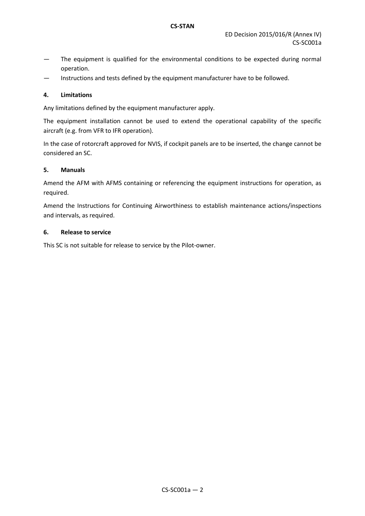- The equipment is qualified for the environmental conditions to be expected during normal operation.
- Instructions and tests defined by the equipment manufacturer have to be followed.

# **4. Limitations**

Any limitations defined by the equipment manufacturer apply.

The equipment installation cannot be used to extend the operational capability of the specific aircraft (e.g. from VFR to IFR operation).

In the case of rotorcraft approved for NVIS, if cockpit panels are to be inserted, the change cannot be considered an SC.

### **5. Manuals**

Amend the AFM with AFMS containing or referencing the equipment instructions for operation, as required.

Amend the Instructions for Continuing Airworthiness to establish maintenance actions/inspections and intervals, as required.

### **6. Release to service**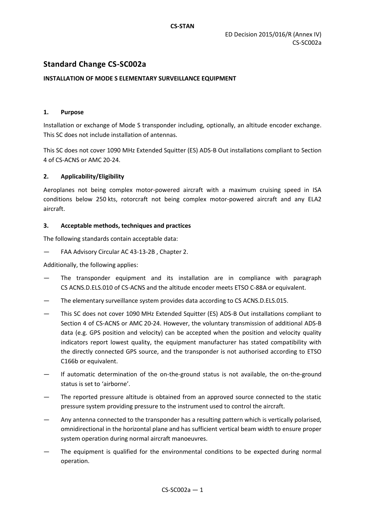# **Standard Change CS-SC002a**

### **INSTALLATION OF MODE S ELEMENTARY SURVEILLANCE EQUIPMENT**

### **1. Purpose**

Installation or exchange of Mode S transponder including, optionally, an altitude encoder exchange. This SC does not include installation of antennas.

This SC does not cover 1090 MHz Extended Squitter (ES) ADS-B Out installations compliant to Section 4 of CS-ACNS or AMC 20-24.

### **2. Applicability/Eligibility**

Aeroplanes not being complex motor-powered aircraft with a maximum cruising speed in ISA conditions below 250 kts, rotorcraft not being complex motor-powered aircraft and any ELA2 aircraft.

### **3. Acceptable methods, techniques and practices**

The following standards contain acceptable data:

— FAA Advisory Circular AC 43-13-2B , Chapter 2.

Additionally, the following applies:

- The transponder equipment and its installation are in compliance with paragraph CS ACNS.D.ELS.010 of CS-ACNS and the altitude encoder meets ETSO C-88A or equivalent.
- The elementary surveillance system provides data according to CS ACNS.D.ELS.015.
- This SC does not cover 1090 MHz Extended Squitter (ES) ADS-B Out installations compliant to Section 4 of CS-ACNS or AMC 20-24. However, the voluntary transmission of additional ADS-B data (e.g. GPS position and velocity) can be accepted when the position and velocity quality indicators report lowest quality, the equipment manufacturer has stated compatibility with the directly connected GPS source, and the transponder is not authorised according to ETSO C166b or equivalent.
- If automatic determination of the on-the-ground status is not available, the on-the-ground status is set to 'airborne'.
- The reported pressure altitude is obtained from an approved source connected to the static pressure system providing pressure to the instrument used to control the aircraft.
- Any antenna connected to the transponder has a resulting pattern which is vertically polarised, omnidirectional in the horizontal plane and has sufficient vertical beam width to ensure proper system operation during normal aircraft manoeuvres.
- The equipment is qualified for the environmental conditions to be expected during normal operation.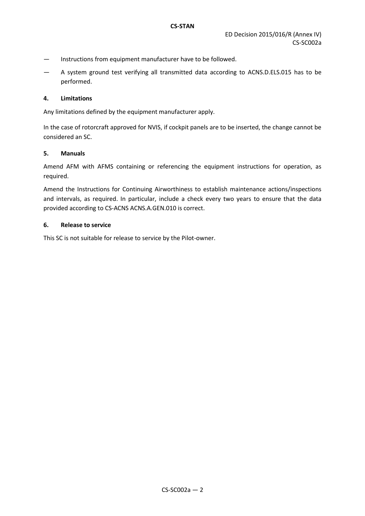- Instructions from equipment manufacturer have to be followed.
- A system ground test verifying all transmitted data according to ACNS.D.ELS.015 has to be performed.

### **4. Limitations**

Any limitations defined by the equipment manufacturer apply.

In the case of rotorcraft approved for NVIS, if cockpit panels are to be inserted, the change cannot be considered an SC.

### **5. Manuals**

Amend AFM with AFMS containing or referencing the equipment instructions for operation, as required.

Amend the Instructions for Continuing Airworthiness to establish maintenance actions/inspections and intervals, as required. In particular, include a check every two years to ensure that the data provided according to CS-ACNS ACNS.A.GEN.010 is correct.

### **6. Release to service**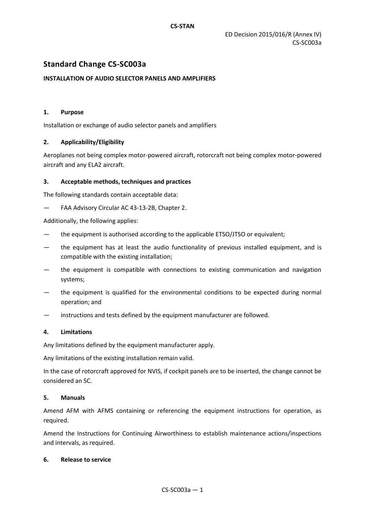# **Standard Change CS-SC003a**

### **INSTALLATION OF AUDIO SELECTOR PANELS AND AMPLIFIERS**

### **1. Purpose**

Installation or exchange of audio selector panels and amplifiers

### **2. Applicability/Eligibility**

Aeroplanes not being complex motor-powered aircraft, rotorcraft not being complex motor-powered aircraft and any ELA2 aircraft.

### **3. Acceptable methods, techniques and practices**

The following standards contain acceptable data:

FAA Advisory Circular AC 43-13-2B, Chapter 2.

Additionally, the following applies:

- the equipment is authorised according to the applicable ETSO/JTSO or equivalent;
- the equipment has at least the audio functionality of previous installed equipment, and is compatible with the existing installation;
- the equipment is compatible with connections to existing communication and navigation systems;
- the equipment is qualified for the environmental conditions to be expected during normal operation; and
- instructions and tests defined by the equipment manufacturer are followed.

### **4. Limitations**

Any limitations defined by the equipment manufacturer apply.

Any limitations of the existing installation remain valid.

In the case of rotorcraft approved for NVIS, if cockpit panels are to be inserted, the change cannot be considered an SC.

### **5. Manuals**

Amend AFM with AFMS containing or referencing the equipment instructions for operation, as required.

Amend the Instructions for Continuing Airworthiness to establish maintenance actions/inspections and intervals, as required.

### **6. Release to service**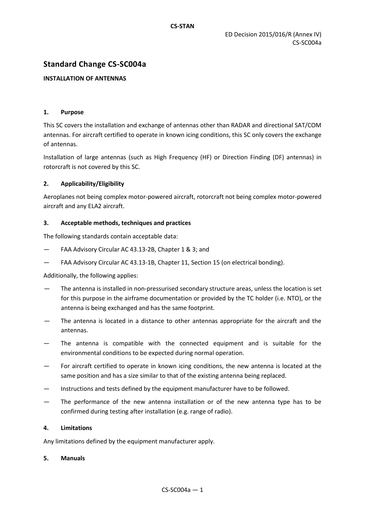# **Standard Change CS-SC004a**

# **INSTALLATION OF ANTENNAS**

### **1. Purpose**

This SC covers the installation and exchange of antennas other than RADAR and directional SAT/COM antennas. For aircraft certified to operate in known icing conditions, this SC only covers the exchange of antennas.

Installation of large antennas (such as High Frequency (HF) or Direction Finding (DF) antennas) in rotorcraft is not covered by this SC.

# **2. Applicability/Eligibility**

Aeroplanes not being complex motor-powered aircraft, rotorcraft not being complex motor-powered aircraft and any ELA2 aircraft.

### **3. Acceptable methods, techniques and practices**

The following standards contain acceptable data:

- FAA Advisory Circular AC 43.13-2B, Chapter 1 & 3; and
- FAA Advisory Circular AC 43.13-1B, Chapter 11, Section 15 (on electrical bonding).

# Additionally, the following applies:

- The antenna is installed in non-pressurised secondary structure areas, unless the location is set for this purpose in the airframe documentation or provided by the TC holder (i.e. NTO), or the antenna is being exchanged and has the same footprint.
- The antenna is located in a distance to other antennas appropriate for the aircraft and the antennas.
- The antenna is compatible with the connected equipment and is suitable for the environmental conditions to be expected during normal operation.
- For aircraft certified to operate in known icing conditions, the new antenna is located at the same position and has a size similar to that of the existing antenna being replaced.
- Instructions and tests defined by the equipment manufacturer have to be followed.
- The performance of the new antenna installation or of the new antenna type has to be confirmed during testing after installation (e.g. range of radio).

### **4. Limitations**

Any limitations defined by the equipment manufacturer apply.

### **5. Manuals**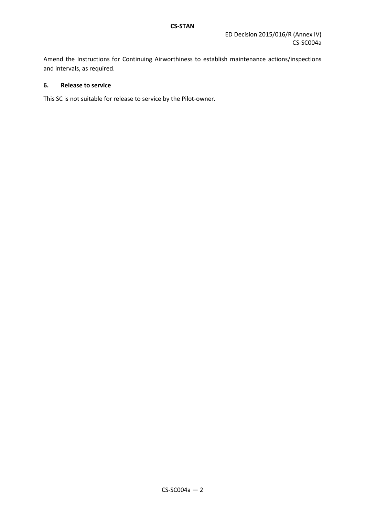Amend the Instructions for Continuing Airworthiness to establish maintenance actions/inspections and intervals, as required.

# **6. Release to service**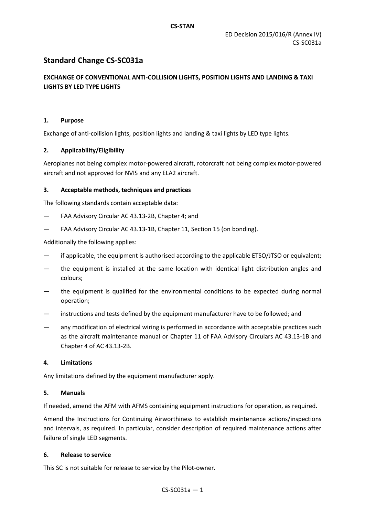# **Standard Change CS-SC031a**

# **EXCHANGE OF CONVENTIONAL ANTI-COLLISION LIGHTS, POSITION LIGHTS AND LANDING & TAXI LIGHTS BY LED TYPE LIGHTS**

### **1. Purpose**

Exchange of anti-collision lights, position lights and landing & taxi lights by LED type lights.

### **2. Applicability/Eligibility**

Aeroplanes not being complex motor-powered aircraft, rotorcraft not being complex motor-powered aircraft and not approved for NVIS and any ELA2 aircraft.

### **3. Acceptable methods, techniques and practices**

The following standards contain acceptable data:

- FAA Advisory Circular AC 43.13-2B, Chapter 4; and
- FAA Advisory Circular AC 43.13-1B, Chapter 11, Section 15 (on bonding).

Additionally the following applies:

- if applicable, the equipment is authorised according to the applicable ETSO/JTSO or equivalent;
- the equipment is installed at the same location with identical light distribution angles and colours;
- the equipment is qualified for the environmental conditions to be expected during normal operation;
- instructions and tests defined by the equipment manufacturer have to be followed; and
- any modification of electrical wiring is performed in accordance with acceptable practices such as the aircraft maintenance manual or Chapter 11 of FAA Advisory Circulars AC 43.13-1B and Chapter 4 of AC 43.13-2B.

### **4. Limitations**

Any limitations defined by the equipment manufacturer apply.

### **5. Manuals**

If needed, amend the AFM with AFMS containing equipment instructions for operation, as required.

Amend the Instructions for Continuing Airworthiness to establish maintenance actions/inspections and intervals, as required. In particular, consider description of required maintenance actions after failure of single LED segments.

### **6. Release to service**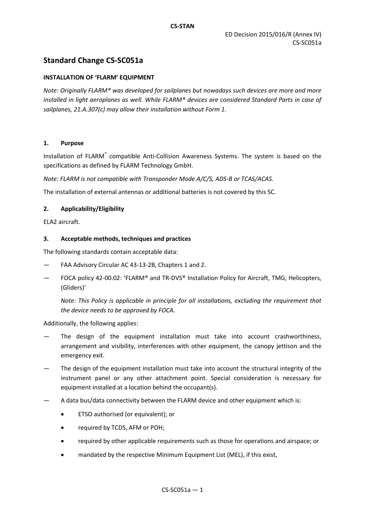# **Standard Change CS-SC051a**

### **INSTALLATION OF 'FLARM' EQUIPMENT**

*Note: Originally FLARM® was developed for sailplanes but nowadays such devices are more and more installed in light aeroplanes as well. While FLARM® devices are considered Standard Parts in case of sailplanes, 21.A.307(c) may allow their installation without Form 1.*

### **1. Purpose**

Installation of FLARM<sup>®</sup> compatible Anti-Collision Awareness Systems. The system is based on the specifications as defined by FLARM Technology GmbH.

*Note: FLARM is not compatible with Transponder Mode A/C/S, ADS-B or TCAS/ACAS.*

The installation of external antennas or additional batteries is not covered by this SC.

### **2. Applicability/Eligibility**

ELA2 aircraft.

#### **3. Acceptable methods, techniques and practices**

The following standards contain acceptable data:

- FAA Advisory Circular AC 43-13-2B, Chapters 1 and 2.
- FOCA policy 42-00.02: 'FLARM® and TR-DVS® Installation Policy for Aircraft, TMG, Helicopters, (Gliders)'

*Note: This Policy is applicable in principle for all installations, excluding the requirement that the device needs to be approved by FOCA.*

Additionally, the following applies:

- The design of the equipment installation must take into account crashworthiness, arrangement and visibility, interferences with other equipment, the canopy jettison and the emergency exit.
- The design of the equipment installation must take into account the structural integrity of the instrument panel or any other attachment point. Special consideration is necessary for equipment installed at a location behind the occupant(s).
- A data bus/data connectivity between the FLARM device and other equipment which is:
	- ETSO authorised (or equivalent); or
	- required by TCDS, AFM or POH;
	- required by other applicable requirements such as those for operations and airspace; or
	- mandated by the respective Minimum Equipment List (MEL), if this exist,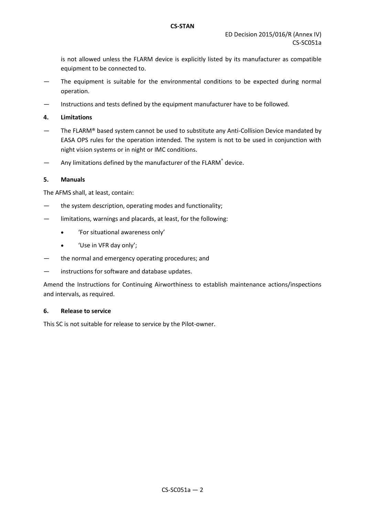is not allowed unless the FLARM device is explicitly listed by its manufacturer as compatible equipment to be connected to.

- The equipment is suitable for the environmental conditions to be expected during normal operation.
- Instructions and tests defined by the equipment manufacturer have to be followed.
- **4. Limitations**
- The FLARM® based system cannot be used to substitute any Anti-Collision Device mandated by EASA OPS rules for the operation intended. The system is not to be used in conjunction with night vision systems or in night or IMC conditions.
- $-$  Any limitations defined by the manufacturer of the FLARM<sup>®</sup> device.

#### **5. Manuals**

The AFMS shall, at least, contain:

- the system description, operating modes and functionality;
- limitations, warnings and placards, at least, for the following:
	- 'For situational awareness only'
	- 'Use in VFR day only';
- the normal and emergency operating procedures; and
- instructions for software and database updates.

Amend the Instructions for Continuing Airworthiness to establish maintenance actions/inspections and intervals, as required.

### **6. Release to service**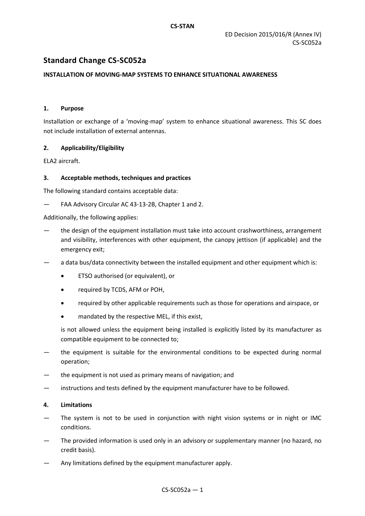# **Standard Change CS-SC052a**

# **INSTALLATION OF MOVING-MAP SYSTEMS TO ENHANCE SITUATIONAL AWARENESS**

### **1. Purpose**

Installation or exchange of a 'moving-map' system to enhance situational awareness. This SC does not include installation of external antennas.

### **2. Applicability/Eligibility**

ELA2 aircraft.

### **3. Acceptable methods, techniques and practices**

The following standard contains acceptable data:

— FAA Advisory Circular AC 43-13-2B, Chapter 1 and 2.

Additionally, the following applies:

- the design of the equipment installation must take into account crashworthiness, arrangement and visibility, interferences with other equipment, the canopy jettison (if applicable) and the emergency exit;
- a data bus/data connectivity between the installed equipment and other equipment which is:
	- ETSO authorised (or equivalent), or
	- required by TCDS, AFM or POH,
	- required by other applicable requirements such as those for operations and airspace, or
	- mandated by the respective MEL, if this exist,

is not allowed unless the equipment being installed is explicitly listed by its manufacturer as compatible equipment to be connected to;

- the equipment is suitable for the environmental conditions to be expected during normal operation;
- the equipment is not used as primary means of navigation; and
- instructions and tests defined by the equipment manufacturer have to be followed.

### **4. Limitations**

- The system is not to be used in conjunction with night vision systems or in night or IMC conditions.
- The provided information is used only in an advisory or supplementary manner (no hazard, no credit basis).
- Any limitations defined by the equipment manufacturer apply.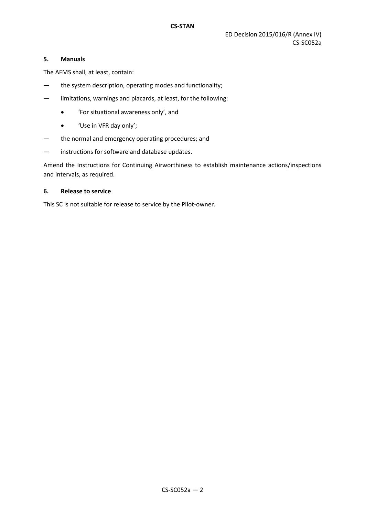### **5. Manuals**

The AFMS shall, at least, contain:

- the system description, operating modes and functionality;
- limitations, warnings and placards, at least, for the following:
	- 'For situational awareness only', and
	- 'Use in VFR day only';
- the normal and emergency operating procedures; and
- instructions for software and database updates.

Amend the Instructions for Continuing Airworthiness to establish maintenance actions/inspections and intervals, as required.

### **6. Release to service**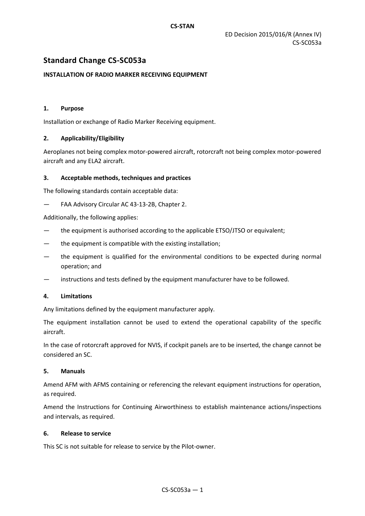# **Standard Change CS-SC053a**

### **INSTALLATION OF RADIO MARKER RECEIVING EQUIPMENT**

### **1. Purpose**

Installation or exchange of Radio Marker Receiving equipment.

### **2. Applicability/Eligibility**

Aeroplanes not being complex motor-powered aircraft, rotorcraft not being complex motor-powered aircraft and any ELA2 aircraft.

### **3. Acceptable methods, techniques and practices**

The following standards contain acceptable data:

FAA Advisory Circular AC 43-13-2B, Chapter 2.

Additionally, the following applies:

- the equipment is authorised according to the applicable ETSO/JTSO or equivalent;
- the equipment is compatible with the existing installation;
- the equipment is qualified for the environmental conditions to be expected during normal operation; and
- instructions and tests defined by the equipment manufacturer have to be followed.

### **4. Limitations**

Any limitations defined by the equipment manufacturer apply.

The equipment installation cannot be used to extend the operational capability of the specific aircraft.

In the case of rotorcraft approved for NVIS, if cockpit panels are to be inserted, the change cannot be considered an SC.

### **5. Manuals**

Amend AFM with AFMS containing or referencing the relevant equipment instructions for operation, as required.

Amend the Instructions for Continuing Airworthiness to establish maintenance actions/inspections and intervals, as required.

### **6. Release to service**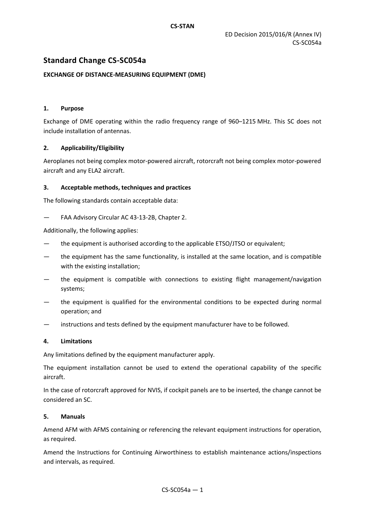# **Standard Change CS-SC054a**

# **EXCHANGE OF DISTANCE-MEASURING EQUIPMENT (DME)**

### **1. Purpose**

Exchange of DME operating within the radio frequency range of 960–1215 MHz. This SC does not include installation of antennas.

### **2. Applicability/Eligibility**

Aeroplanes not being complex motor-powered aircraft, rotorcraft not being complex motor-powered aircraft and any ELA2 aircraft.

### **3. Acceptable methods, techniques and practices**

The following standards contain acceptable data:

### FAA Advisory Circular AC 43-13-2B, Chapter 2.

Additionally, the following applies:

- the equipment is authorised according to the applicable ETSO/JTSO or equivalent;
- the equipment has the same functionality, is installed at the same location, and is compatible with the existing installation;
- the equipment is compatible with connections to existing flight management/navigation systems;
- the equipment is qualified for the environmental conditions to be expected during normal operation; and
- instructions and tests defined by the equipment manufacturer have to be followed.

### **4. Limitations**

Any limitations defined by the equipment manufacturer apply.

The equipment installation cannot be used to extend the operational capability of the specific aircraft.

In the case of rotorcraft approved for NVIS, if cockpit panels are to be inserted, the change cannot be considered an SC.

### **5. Manuals**

Amend AFM with AFMS containing or referencing the relevant equipment instructions for operation, as required.

Amend the Instructions for Continuing Airworthiness to establish maintenance actions/inspections and intervals, as required.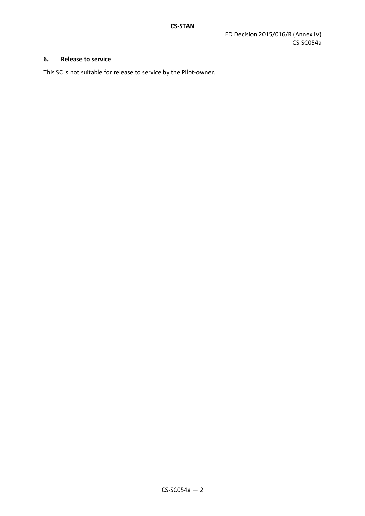# **6. Release to service**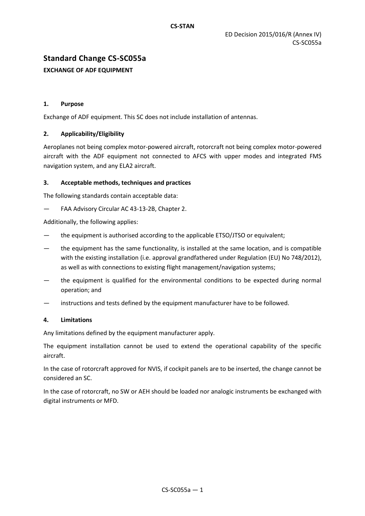# **Standard Change CS-SC055a**

# **EXCHANGE OF ADF EQUIPMENT**

# **1. Purpose**

Exchange of ADF equipment. This SC does not include installation of antennas.

# **2. Applicability/Eligibility**

Aeroplanes not being complex motor-powered aircraft, rotorcraft not being complex motor-powered aircraft with the ADF equipment not connected to AFCS with upper modes and integrated FMS navigation system, and any ELA2 aircraft.

### **3. Acceptable methods, techniques and practices**

The following standards contain acceptable data:

FAA Advisory Circular AC 43-13-2B, Chapter 2.

Additionally, the following applies:

- the equipment is authorised according to the applicable ETSO/JTSO or equivalent;
- the equipment has the same functionality, is installed at the same location, and is compatible with the existing installation (i.e. approval grandfathered under Regulation (EU) No 748/2012), as well as with connections to existing flight management/navigation systems;
- the equipment is qualified for the environmental conditions to be expected during normal operation; and
- instructions and tests defined by the equipment manufacturer have to be followed.

### **4. Limitations**

Any limitations defined by the equipment manufacturer apply.

The equipment installation cannot be used to extend the operational capability of the specific aircraft.

In the case of rotorcraft approved for NVIS, if cockpit panels are to be inserted, the change cannot be considered an SC.

In the case of rotorcraft, no SW or AEH should be loaded nor analogic instruments be exchanged with digital instruments or MFD.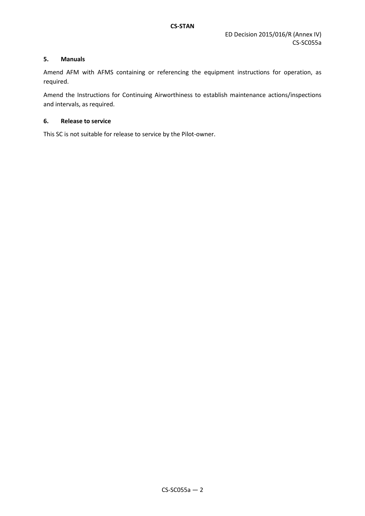# **5. Manuals**

Amend AFM with AFMS containing or referencing the equipment instructions for operation, as required.

Amend the Instructions for Continuing Airworthiness to establish maintenance actions/inspections and intervals, as required.

### **6. Release to service**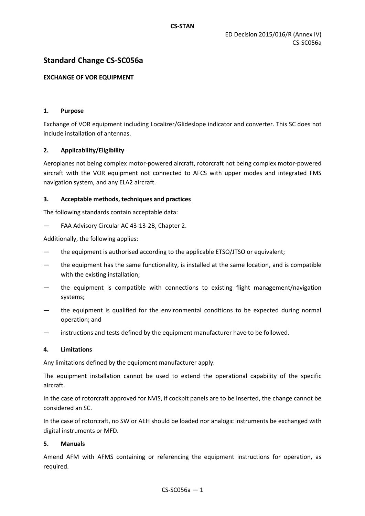# **Standard Change CS-SC056a**

### **EXCHANGE OF VOR EQUIPMENT**

### **1. Purpose**

Exchange of VOR equipment including Localizer/Glideslope indicator and converter. This SC does not include installation of antennas.

### **2. Applicability/Eligibility**

Aeroplanes not being complex motor-powered aircraft, rotorcraft not being complex motor-powered aircraft with the VOR equipment not connected to AFCS with upper modes and integrated FMS navigation system, and any ELA2 aircraft.

### **3. Acceptable methods, techniques and practices**

The following standards contain acceptable data:

— FAA Advisory Circular AC 43-13-2B, Chapter 2.

Additionally, the following applies:

- the equipment is authorised according to the applicable ETSO/JTSO or equivalent;
- the equipment has the same functionality, is installed at the same location, and is compatible with the existing installation;
- the equipment is compatible with connections to existing flight management/navigation systems;
- the equipment is qualified for the environmental conditions to be expected during normal operation; and
- instructions and tests defined by the equipment manufacturer have to be followed.

### **4. Limitations**

Any limitations defined by the equipment manufacturer apply.

The equipment installation cannot be used to extend the operational capability of the specific aircraft.

In the case of rotorcraft approved for NVIS, if cockpit panels are to be inserted, the change cannot be considered an SC.

In the case of rotorcraft, no SW or AEH should be loaded nor analogic instruments be exchanged with digital instruments or MFD.

### **5. Manuals**

Amend AFM with AFMS containing or referencing the equipment instructions for operation, as required.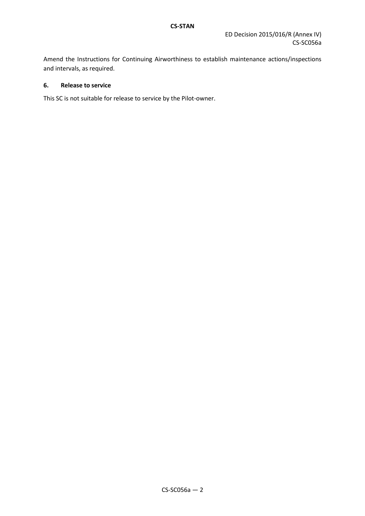Amend the Instructions for Continuing Airworthiness to establish maintenance actions/inspections and intervals, as required.

# **6. Release to service**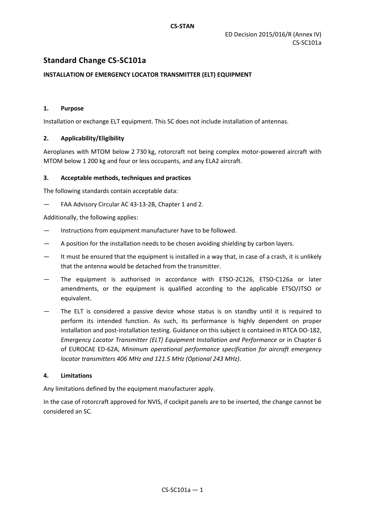# **Standard Change CS-SC101a**

# **INSTALLATION OF EMERGENCY LOCATOR TRANSMITTER (ELT) EQUIPMENT**

### **1. Purpose**

Installation or exchange ELT equipment. This SC does not include installation of antennas.

### **2. Applicability/Eligibility**

Aeroplanes with MTOM below 2 730 kg, rotorcraft not being complex motor-powered aircraft with MTOM below 1 200 kg and four or less occupants, and any ELA2 aircraft.

### **3. Acceptable methods, techniques and practices**

The following standards contain acceptable data:

— FAA Advisory Circular AC 43-13-2B, Chapter 1 and 2.

Additionally, the following applies:

- Instructions from equipment manufacturer have to be followed.
- A position for the installation needs to be chosen avoiding shielding by carbon layers.
- It must be ensured that the equipment is installed in a way that, in case of a crash, it is unlikely that the antenna would be detached from the transmitter.
- The equipment is authorised in accordance with ETSO-2C126, ETSO-C126a or later amendments, or the equipment is qualified according to the applicable ETSO/JTSO or equivalent.
- The ELT is considered a passive device whose status is on standby until it is required to perform its intended function. As such, its performance is highly dependent on proper installation and post-installation testing. Guidance on this subject is contained in RTCA DO-182, *Emergency Locator Transmitter (ELT) Equipment Installation and Performance* or in Chapter 6 of EUROCAE ED-62A, *Minimum operational performance specification for aircraft emergency locator transmitters 406 MHz and 121.5 MHz (Optional 243 MHz)*.

# **4. Limitations**

Any limitations defined by the equipment manufacturer apply.

In the case of rotorcraft approved for NVIS, if cockpit panels are to be inserted, the change cannot be considered an SC.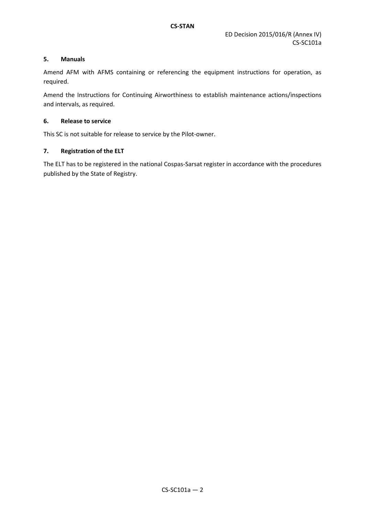# **5. Manuals**

Amend AFM with AFMS containing or referencing the equipment instructions for operation, as required.

Amend the Instructions for Continuing Airworthiness to establish maintenance actions/inspections and intervals, as required.

### **6. Release to service**

This SC is not suitable for release to service by the Pilot-owner.

### **7. Registration of the ELT**

The ELT has to be registered in the national Cospas-Sarsat register in accordance with the procedures published by the State of Registry.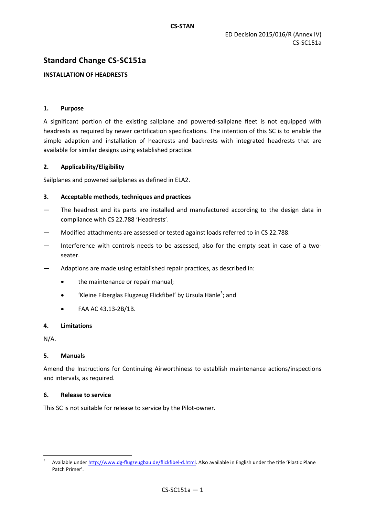# **Standard Change CS-SC151a**

# **INSTALLATION OF HEADRESTS**

### **1. Purpose**

A significant portion of the existing sailplane and powered-sailplane fleet is not equipped with headrests as required by newer certification specifications. The intention of this SC is to enable the simple adaption and installation of headrests and backrests with integrated headrests that are available for similar designs using established practice.

### **2. Applicability/Eligibility**

Sailplanes and powered sailplanes as defined in ELA2.

### **3. Acceptable methods, techniques and practices**

- The headrest and its parts are installed and manufactured according to the design data in compliance with CS 22.788 'Headrests'.
- Modified attachments are assessed or tested against loads referred to in CS 22.788.
- Interference with controls needs to be assessed, also for the empty seat in case of a twoseater.
- Adaptions are made using established repair practices, as described in:
	- the maintenance or repair manual;
	- 'Kleine Fiberglas Flugzeug Flickfibel' by Ursula Hänle<sup>3</sup>; and
	- FAA AC 43.13-2B/1B.

### **4. Limitations**

N/A.

 $\overline{\phantom{a}}$ 

### **5. Manuals**

Amend the Instructions for Continuing Airworthiness to establish maintenance actions/inspections and intervals, as required.

### **6. Release to service**

<sup>3</sup> Available under [http://www.dg-flugzeugbau.de/flickfibel-d.html.](http://www.dg-flugzeugbau.de/flickfibel-d.html) Also available in English under the title 'Plastic Plane Patch Primer'.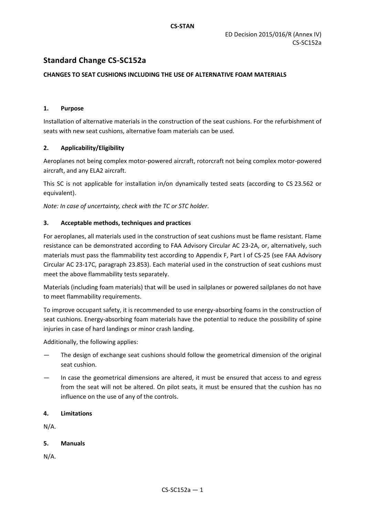# **Standard Change CS-SC152a**

# **CHANGES TO SEAT CUSHIONS INCLUDING THE USE OF ALTERNATIVE FOAM MATERIALS**

# **1. Purpose**

Installation of alternative materials in the construction of the seat cushions. For the refurbishment of seats with new seat cushions, alternative foam materials can be used.

# **2. Applicability/Eligibility**

Aeroplanes not being complex motor-powered aircraft, rotorcraft not being complex motor-powered aircraft, and any ELA2 aircraft.

This SC is not applicable for installation in/on dynamically tested seats (according to CS 23.562 or equivalent).

*Note: In case of uncertainty, check with the TC or STC holder.*

# **3. Acceptable methods, techniques and practices**

For aeroplanes, all materials used in the construction of seat cushions must be flame resistant. Flame resistance can be demonstrated according to FAA Advisory Circular AC 23-2A, or, alternatively, such materials must pass the flammability test according to Appendix F, Part I of CS-25 (see FAA Advisory Circular AC 23-17C, paragraph 23.853). Each material used in the construction of seat cushions must meet the above flammability tests separately.

Materials (including foam materials) that will be used in sailplanes or powered sailplanes do not have to meet flammability requirements.

To improve occupant safety, it is recommended to use energy-absorbing foams in the construction of seat cushions. Energy-absorbing foam materials have the potential to reduce the possibility of spine injuries in case of hard landings or minor crash landing.

Additionally, the following applies:

- The design of exchange seat cushions should follow the geometrical dimension of the original seat cushion.
- In case the geometrical dimensions are altered, it must be ensured that access to and egress from the seat will not be altered. On pilot seats, it must be ensured that the cushion has no influence on the use of any of the controls.

# **4. Limitations**

N/A.

# **5. Manuals**

N/A.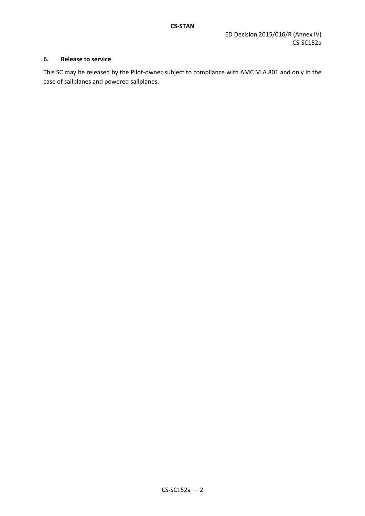# **6. Release to service**

This SC may be released by the Pilot-owner subject to compliance with AMC M.A.801 and only in the case of sailplanes and powered sailplanes.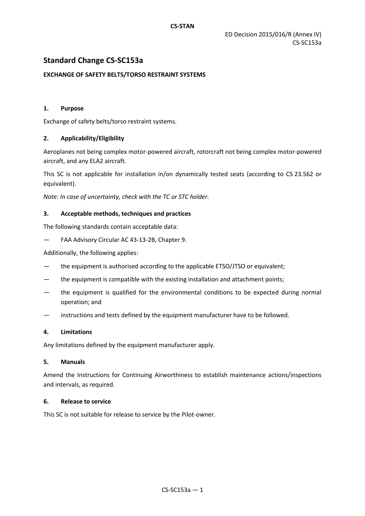# **Standard Change CS-SC153a**

# **EXCHANGE OF SAFETY BELTS/TORSO RESTRAINT SYSTEMS**

### **1. Purpose**

Exchange of safety belts/torso restraint systems.

### **2. Applicability/Eligibility**

Aeroplanes not being complex motor-powered aircraft, rotorcraft not being complex motor-powered aircraft, and any ELA2 aircraft.

This SC is not applicable for installation in/on dynamically tested seats (according to CS 23.562 or equivalent).

*Note: In case of uncertainty, check with the TC or STC holder.*

### **3. Acceptable methods, techniques and practices**

The following standards contain acceptable data:

— FAA Advisory Circular AC 43-13-2B, Chapter 9.

Additionally, the following applies:

- the equipment is authorised according to the applicable ETSO/JTSO or equivalent;
- the equipment is compatible with the existing installation and attachment points;
- the equipment is qualified for the environmental conditions to be expected during normal operation; and
- instructions and tests defined by the equipment manufacturer have to be followed.

### **4. Limitations**

Any limitations defined by the equipment manufacturer apply.

### **5. Manuals**

Amend the Instructions for Continuing Airworthiness to establish maintenance actions/inspections and intervals, as required.

# **6. Release to service**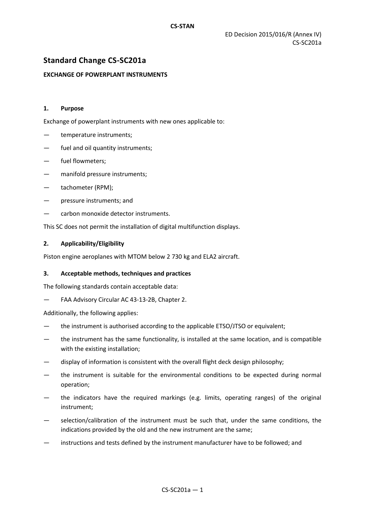# **Standard Change CS-SC201a**

### **EXCHANGE OF POWERPLANT INSTRUMENTS**

### **1. Purpose**

Exchange of powerplant instruments with new ones applicable to:

- temperature instruments;
- fuel and oil quantity instruments;
- fuel flowmeters;
- manifold pressure instruments;
- tachometer (RPM);
- pressure instruments; and
- carbon monoxide detector instruments.

This SC does not permit the installation of digital multifunction displays.

### **2. Applicability/Eligibility**

Piston engine aeroplanes with MTOM below 2 730 kg and ELA2 aircraft.

### **3. Acceptable methods, techniques and practices**

The following standards contain acceptable data:

— FAA Advisory Circular AC 43-13-2B, Chapter 2.

Additionally, the following applies:

- the instrument is authorised according to the applicable ETSO/JTSO or equivalent;
- the instrument has the same functionality, is installed at the same location, and is compatible with the existing installation;
- display of information is consistent with the overall flight deck design philosophy;
- the instrument is suitable for the environmental conditions to be expected during normal operation;
- the indicators have the required markings (e.g. limits, operating ranges) of the original instrument;
- selection/calibration of the instrument must be such that, under the same conditions, the indications provided by the old and the new instrument are the same;
- instructions and tests defined by the instrument manufacturer have to be followed; and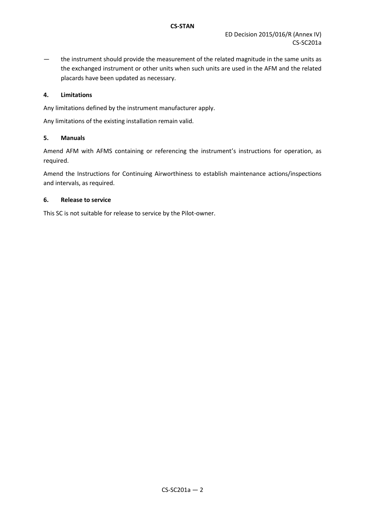— the instrument should provide the measurement of the related magnitude in the same units as the exchanged instrument or other units when such units are used in the AFM and the related placards have been updated as necessary.

### **4. Limitations**

Any limitations defined by the instrument manufacturer apply.

Any limitations of the existing installation remain valid.

### **5. Manuals**

Amend AFM with AFMS containing or referencing the instrument's instructions for operation, as required.

Amend the Instructions for Continuing Airworthiness to establish maintenance actions/inspections and intervals, as required.

### **6. Release to service**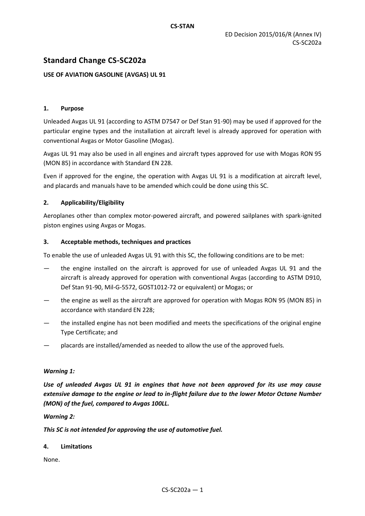# **Standard Change CS-SC202a**

# **USE OF AVIATION GASOLINE (AVGAS) UL 91**

### **1. Purpose**

Unleaded Avgas UL 91 (according to ASTM D7547 or Def Stan 91-90) may be used if approved for the particular engine types and the installation at aircraft level is already approved for operation with conventional Avgas or Motor Gasoline (Mogas).

Avgas UL 91 may also be used in all engines and aircraft types approved for use with Mogas RON 95 (MON 85) in accordance with Standard EN 228.

Even if approved for the engine, the operation with Avgas UL 91 is a modification at aircraft level, and placards and manuals have to be amended which could be done using this SC.

### **2. Applicability/Eligibility**

Aeroplanes other than complex motor-powered aircraft, and powered sailplanes with spark-ignited piston engines using Avgas or Mogas.

### **3. Acceptable methods, techniques and practices**

To enable the use of unleaded Avgas UL 91 with this SC, the following conditions are to be met:

- the engine installed on the aircraft is approved for use of unleaded Avgas UL 91 and the aircraft is already approved for operation with conventional Avgas (according to ASTM D910, Def Stan 91-90, Mil-G-5572, GOST1012-72 or equivalent) or Mogas; or
- the engine as well as the aircraft are approved for operation with Mogas RON 95 (MON 85) in accordance with standard EN 228;
- the installed engine has not been modified and meets the specifications of the original engine Type Certificate; and
- placards are installed/amended as needed to allow the use of the approved fuels.

### *Warning 1:*

*Use of unleaded Avgas UL 91 in engines that have not been approved for its use may cause extensive damage to the engine or lead to in-flight failure due to the lower Motor Octane Number (MON) of the fuel, compared to Avgas 100LL.*

### *Warning 2:*

*This SC is not intended for approving the use of automotive fuel.*

### **4. Limitations**

None.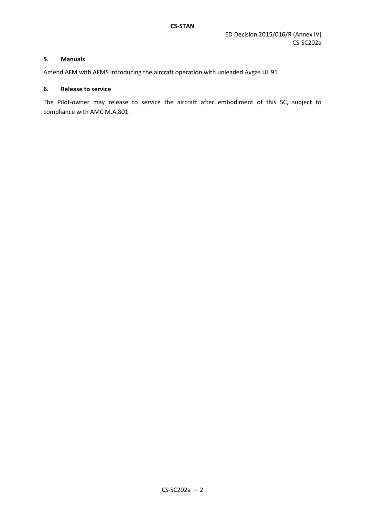### **5. Manuals**

Amend AFM with AFMS introducing the aircraft operation with unleaded Avgas UL 91.

#### **6. Release to service**

The Pilot-owner may release to service the aircraft after embodiment of this SC, subject to compliance with AMC M.A.801.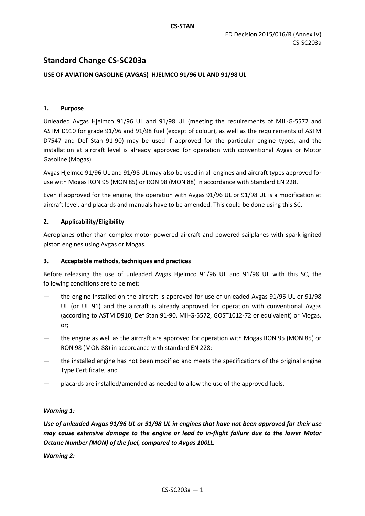# **Standard Change CS-SC203a**

# **USE OF AVIATION GASOLINE (AVGAS) HJELMCO 91/96 UL AND 91/98 UL**

### **1. Purpose**

Unleaded Avgas Hjelmco 91/96 UL and 91/98 UL (meeting the requirements of MIL-G-5572 and ASTM D910 for grade 91/96 and 91/98 fuel (except of colour), as well as the requirements of ASTM D7547 and Def Stan 91-90) may be used if approved for the particular engine types, and the installation at aircraft level is already approved for operation with conventional Avgas or Motor Gasoline (Mogas).

Avgas Hjelmco 91/96 UL and 91/98 UL may also be used in all engines and aircraft types approved for use with Mogas RON 95 (MON 85) or RON 98 (MON 88) in accordance with Standard EN 228.

Even if approved for the engine, the operation with Avgas 91/96 UL or 91/98 UL is a modification at aircraft level, and placards and manuals have to be amended. This could be done using this SC.

### **2. Applicability/Eligibility**

Aeroplanes other than complex motor-powered aircraft and powered sailplanes with spark-ignited piston engines using Avgas or Mogas.

# **3. Acceptable methods, techniques and practices**

Before releasing the use of unleaded Avgas Hjelmco 91/96 UL and 91/98 UL with this SC, the following conditions are to be met:

- the engine installed on the aircraft is approved for use of unleaded Avgas 91/96 UL or 91/98 UL (or UL 91) and the aircraft is already approved for operation with conventional Avgas (according to ASTM D910, Def Stan 91-90, Mil-G-5572, GOST1012-72 or equivalent) or Mogas, or;
- the engine as well as the aircraft are approved for operation with Mogas RON 95 (MON 85) or RON 98 (MON 88) in accordance with standard EN 228;
- the installed engine has not been modified and meets the specifications of the original engine Type Certificate; and
- placards are installed/amended as needed to allow the use of the approved fuels.

# *Warning 1:*

*Use of unleaded Avgas 91/96 UL or 91/98 UL in engines that have not been approved for their use may cause extensive damage to the engine or lead to in-flight failure due to the lower Motor Octane Number (MON) of the fuel, compared to Avgas 100LL.*

*Warning 2:*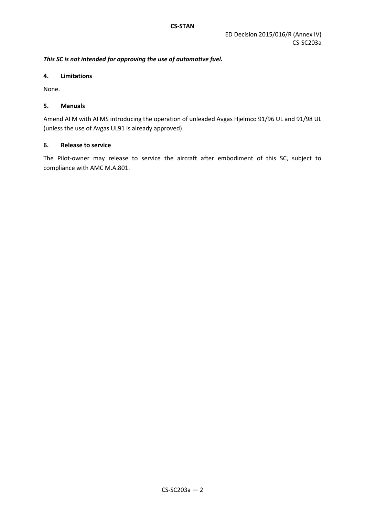# *This SC is not intended for approving the use of automotive fuel.*

### **4. Limitations**

None.

# **5. Manuals**

Amend AFM with AFMS introducing the operation of unleaded Avgas Hjelmco 91/96 UL and 91/98 UL (unless the use of Avgas UL91 is already approved).

# **6. Release to service**

The Pilot-owner may release to service the aircraft after embodiment of this SC, subject to compliance with AMC M.A.801.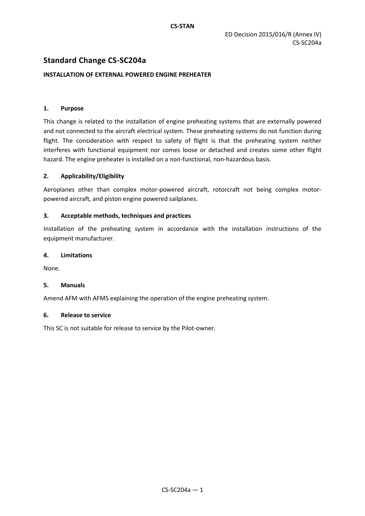# **Standard Change CS-SC204a**

# **INSTALLATION OF EXTERNAL POWERED ENGINE PREHEATER**

### **1. Purpose**

This change is related to the installation of engine preheating systems that are externally powered and not connected to the aircraft electrical system. These preheating systems do not function during flight. The consideration with respect to safety of flight is that the preheating system neither interferes with functional equipment nor comes loose or detached and creates some other flight hazard. The engine preheater is installed on a non-functional, non-hazardous basis.

# **2. Applicability/Eligibility**

Aeroplanes other than complex motor-powered aircraft, rotorcraft not being complex motorpowered aircraft, and piston engine powered sailplanes.

### **3. Acceptable methods, techniques and practices**

Installation of the preheating system in accordance with the installation instructions of the equipment manufacturer.

### **4. Limitations**

None.

### **5. Manuals**

Amend AFM with AFMS explaining the operation of the engine preheating system.

### **6. Release to service**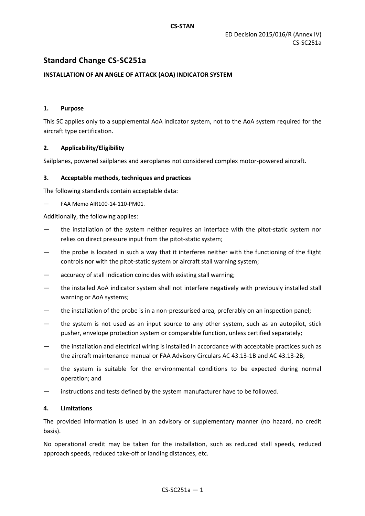# **Standard Change CS-SC251a**

# **INSTALLATION OF AN ANGLE OF ATTACK (AOA) INDICATOR SYSTEM**

### **1. Purpose**

This SC applies only to a supplemental AoA indicator system, not to the AoA system required for the aircraft type certification.

### **2. Applicability/Eligibility**

Sailplanes, powered sailplanes and aeroplanes not considered complex motor-powered aircraft.

### **3. Acceptable methods, techniques and practices**

The following standards contain acceptable data:

— FAA Memo AIR100-14-110-PM01.

Additionally, the following applies:

- the installation of the system neither requires an interface with the pitot-static system nor relies on direct pressure input from the pitot-static system;
- the probe is located in such a way that it interferes neither with the functioning of the flight controls nor with the pitot-static system or aircraft stall warning system;
- accuracy of stall indication coincides with existing stall warning;
- the installed AoA indicator system shall not interfere negatively with previously installed stall warning or AoA systems;
- the installation of the probe is in a non-pressurised area, preferably on an inspection panel;
- the system is not used as an input source to any other system, such as an autopilot, stick pusher, envelope protection system or comparable function, unless certified separately;
- the installation and electrical wiring is installed in accordance with acceptable practices such as the aircraft maintenance manual or FAA Advisory Circulars AC 43.13-1B and AC 43.13-2B;
- the system is suitable for the environmental conditions to be expected during normal operation; and
- instructions and tests defined by the system manufacturer have to be followed.

### **4. Limitations**

The provided information is used in an advisory or supplementary manner (no hazard, no credit basis).

No operational credit may be taken for the installation, such as reduced stall speeds, reduced approach speeds, reduced take-off or landing distances, etc.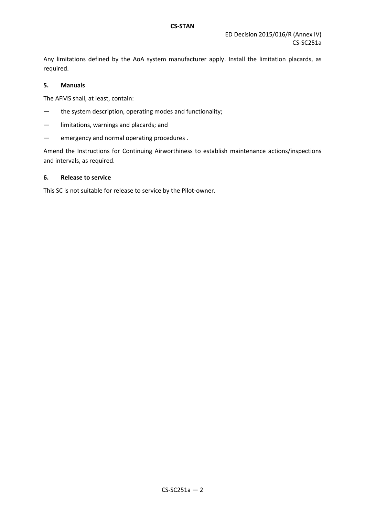Any limitations defined by the AoA system manufacturer apply. Install the limitation placards, as required.

# **5. Manuals**

The AFMS shall, at least, contain:

- the system description, operating modes and functionality;
- limitations, warnings and placards; and
- emergency and normal operating procedures .

Amend the Instructions for Continuing Airworthiness to establish maintenance actions/inspections and intervals, as required.

#### **6. Release to service**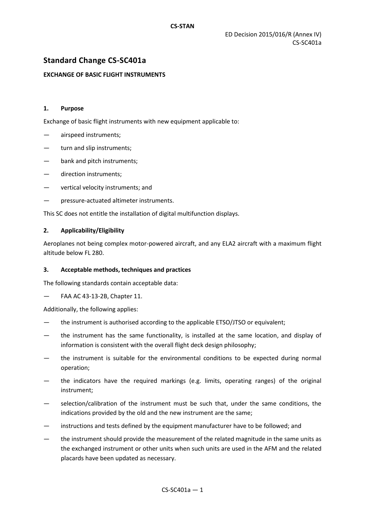# **Standard Change CS-SC401a**

### **EXCHANGE OF BASIC FLIGHT INSTRUMENTS**

#### **1. Purpose**

Exchange of basic flight instruments with new equipment applicable to:

- airspeed instruments;
- turn and slip instruments;
- bank and pitch instruments;
- direction instruments;
- vertical velocity instruments; and
- pressure-actuated altimeter instruments.

This SC does not entitle the installation of digital multifunction displays.

### **2. Applicability/Eligibility**

Aeroplanes not being complex motor-powered aircraft, and any ELA2 aircraft with a maximum flight altitude below FL 280.

### **3. Acceptable methods, techniques and practices**

The following standards contain acceptable data:

— FAA AC 43-13-2B, Chapter 11.

Additionally, the following applies:

- the instrument is authorised according to the applicable ETSO/JTSO or equivalent;
- the instrument has the same functionality, is installed at the same location, and display of information is consistent with the overall flight deck design philosophy;
- the instrument is suitable for the environmental conditions to be expected during normal operation;
- the indicators have the required markings (e.g. limits, operating ranges) of the original instrument;
- selection/calibration of the instrument must be such that, under the same conditions, the indications provided by the old and the new instrument are the same;
- instructions and tests defined by the equipment manufacturer have to be followed; and
- the instrument should provide the measurement of the related magnitude in the same units as the exchanged instrument or other units when such units are used in the AFM and the related placards have been updated as necessary.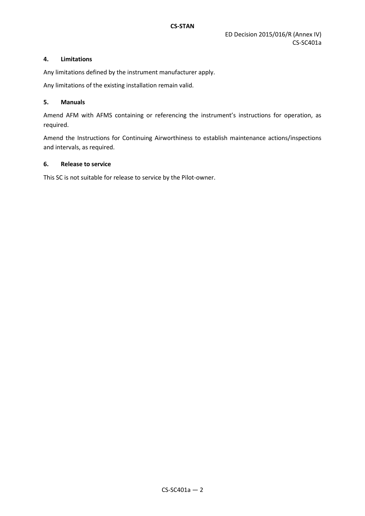# **4. Limitations**

Any limitations defined by the instrument manufacturer apply.

Any limitations of the existing installation remain valid.

# **5. Manuals**

Amend AFM with AFMS containing or referencing the instrument's instructions for operation, as required.

Amend the Instructions for Continuing Airworthiness to establish maintenance actions/inspections and intervals, as required.

# **6. Release to service**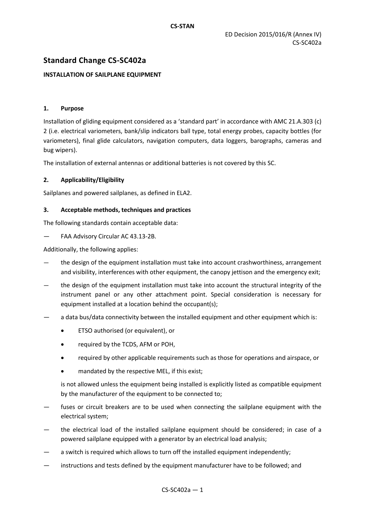# **Standard Change CS-SC402a**

# **INSTALLATION OF SAILPLANE EQUIPMENT**

# **1. Purpose**

Installation of gliding equipment considered as a 'standard part' in accordance with AMC 21.A.303 (c) 2 (i.e. electrical variometers, bank/slip indicators ball type, total energy probes, capacity bottles (for variometers), final glide calculators, navigation computers, data loggers, barographs, cameras and bug wipers).

The installation of external antennas or additional batteries is not covered by this SC.

### **2. Applicability/Eligibility**

Sailplanes and powered sailplanes, as defined in ELA2.

### **3. Acceptable methods, techniques and practices**

The following standards contain acceptable data:

— FAA Advisory Circular AC 43.13-2B.

Additionally, the following applies:

- the design of the equipment installation must take into account crashworthiness, arrangement and visibility, interferences with other equipment, the canopy jettison and the emergency exit;
- the design of the equipment installation must take into account the structural integrity of the instrument panel or any other attachment point. Special consideration is necessary for equipment installed at a location behind the occupant(s);
- a data bus/data connectivity between the installed equipment and other equipment which is:
	- ETSO authorised (or equivalent), or
	- required by the TCDS, AFM or POH,
	- required by other applicable requirements such as those for operations and airspace, or
	- mandated by the respective MEL, if this exist;

is not allowed unless the equipment being installed is explicitly listed as compatible equipment by the manufacturer of the equipment to be connected to;

- fuses or circuit breakers are to be used when connecting the sailplane equipment with the electrical system;
- the electrical load of the installed sailplane equipment should be considered; in case of a powered sailplane equipped with a generator by an electrical load analysis;
- a switch is required which allows to turn off the installed equipment independently;
- instructions and tests defined by the equipment manufacturer have to be followed; and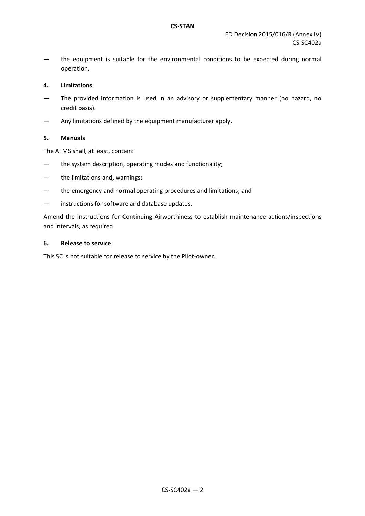— the equipment is suitable for the environmental conditions to be expected during normal operation.

### **4. Limitations**

- The provided information is used in an advisory or supplementary manner (no hazard, no credit basis).
- Any limitations defined by the equipment manufacturer apply.

### **5. Manuals**

The AFMS shall, at least, contain:

- the system description, operating modes and functionality;
- the limitations and, warnings;
- the emergency and normal operating procedures and limitations; and
- instructions for software and database updates.

Amend the Instructions for Continuing Airworthiness to establish maintenance actions/inspections and intervals, as required.

### **6. Release to service**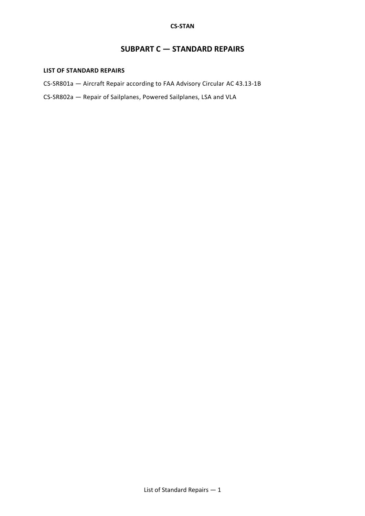# **SUBPART C — STANDARD REPAIRS**

### <span id="page-46-0"></span>**LIST OF STANDARD REPAIRS**

- CS-SR801a Aircraft Repair according to FAA Advisory Circular AC 43.13-1B
- CS-SR802a Repair of Sailplanes, Powered Sailplanes, LSA and VLA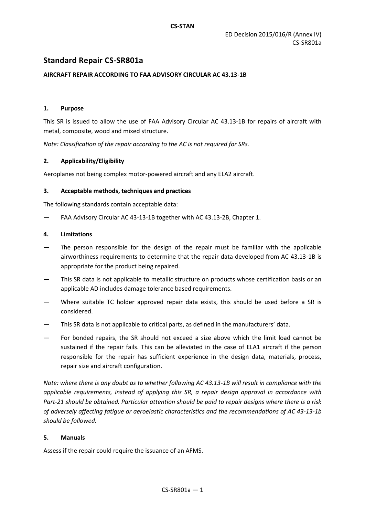# **Standard Repair CS-SR801a**

# **AIRCRAFT REPAIR ACCORDING TO FAA ADVISORY CIRCULAR AC 43.13-1B**

### **1. Purpose**

This SR is issued to allow the use of FAA Advisory Circular AC 43.13-1B for repairs of aircraft with metal, composite, wood and mixed structure.

*Note: Classification of the repair according to the AC is not required for SRs.*

### **2. Applicability/Eligibility**

Aeroplanes not being complex motor-powered aircraft and any ELA2 aircraft.

### **3. Acceptable methods, techniques and practices**

The following standards contain acceptable data:

FAA Advisory Circular AC 43-13-1B together with AC 43.13-2B, Chapter 1.

### **4. Limitations**

- The person responsible for the design of the repair must be familiar with the applicable airworthiness requirements to determine that the repair data developed from AC 43.13-1B is appropriate for the product being repaired.
- This SR data is not applicable to metallic structure on products whose certification basis or an applicable AD includes damage tolerance based requirements.
- Where suitable TC holder approved repair data exists, this should be used before a SR is considered.
- This SR data is not applicable to critical parts, as defined in the manufacturers' data.
- For bonded repairs, the SR should not exceed a size above which the limit load cannot be sustained if the repair fails. This can be alleviated in the case of ELA1 aircraft if the person responsible for the repair has sufficient experience in the design data, materials, process, repair size and aircraft configuration.

*Note: where there is any doubt as to whether following AC 43.13-1B will result in compliance with the applicable requirements, instead of applying this SR, a repair design approval in accordance with Part-21 should be obtained. Particular attention should be paid to repair designs where there is a risk of adversely affecting fatigue or aeroelastic characteristics and the recommendations of AC 43-13-1b should be followed.*

### **5. Manuals**

Assess if the repair could require the issuance of an AFMS.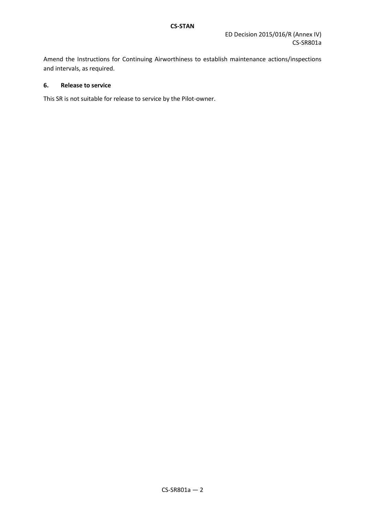Amend the Instructions for Continuing Airworthiness to establish maintenance actions/inspections and intervals, as required.

# **6. Release to service**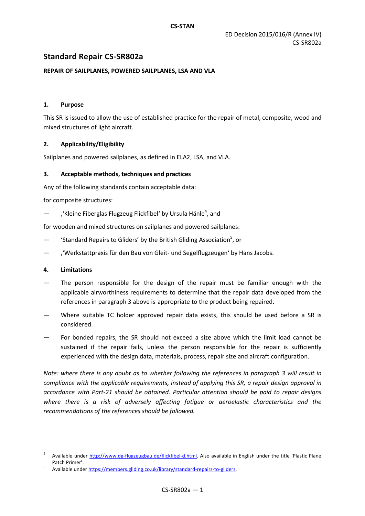# **Standard Repair CS-SR802a**

### **REPAIR OF SAILPLANES, POWERED SAILPLANES, LSA AND VLA**

### **1. Purpose**

This SR is issued to allow the use of established practice for the repair of metal, composite, wood and mixed structures of light aircraft.

### **2. Applicability/Eligibility**

Sailplanes and powered sailplanes, as defined in ELA2, LSA, and VLA.

### **3. Acceptable methods, techniques and practices**

Any of the following standards contain acceptable data:

for composite structures:

- fivileine Fiberglas Flugzeug Flickfibel' by Ursula Hänle<sup>4</sup>, and

for wooden and mixed structures on sailplanes and powered sailplanes:

- 'Standard Repairs to Gliders' by the British Gliding Association<sup>5</sup>, or
- ''Werkstattpraxis für den Bau von Gleit- und Segelflugzeugen' by Hans Jacobs.

#### **4. Limitations**

 $\overline{a}$ 

- The person responsible for the design of the repair must be familiar enough with the applicable airworthiness requirements to determine that the repair data developed from the references in paragraph 3 above is appropriate to the product being repaired.
- Where suitable TC holder approved repair data exists, this should be used before a SR is considered.
- For bonded repairs, the SR should not exceed a size above which the limit load cannot be sustained if the repair fails, unless the person responsible for the repair is sufficiently experienced with the design data, materials, process, repair size and aircraft configuration.

*Note: where there is any doubt as to whether following the references in paragraph 3 will result in compliance with the applicable requirements, instead of applying this SR, a repair design approval in accordance with Part-21 should be obtained. Particular attention should be paid to repair designs where there is a risk of adversely affecting fatigue or aeroelastic characteristics and the recommendations of the references should be followed.*

<sup>4</sup> Available under [http://www.dg-flugzeugbau.de/flickfibel-d.html.](http://www.dg-flugzeugbau.de/flickfibel-d.html) Also available in English under the title 'Plastic Plane Patch Primer'.

<sup>5</sup> Available unde[r https://members.gliding.co.uk/library/standard-repairs-to-gliders.](https://members.gliding.co.uk/library/standard-repairs-to-gliders)